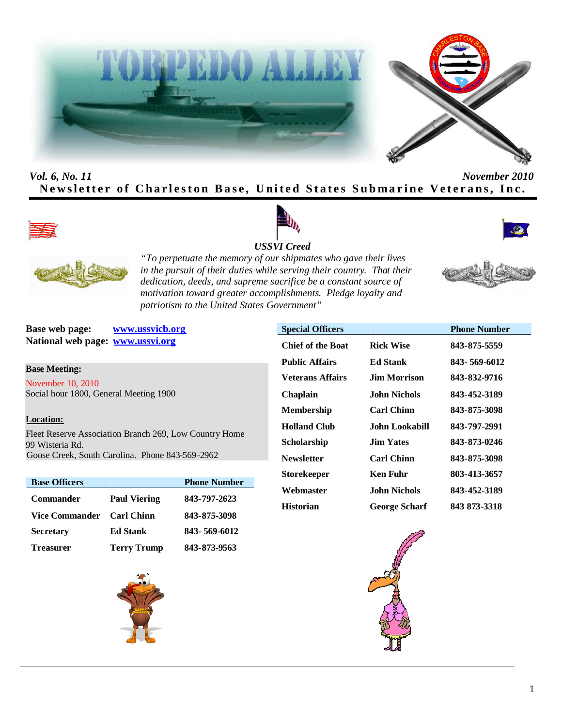



# *Vol. 6, No. 11 November 2010* **Newsletter of Charleston Base, United States Submarine Veterans, Inc.**









*"To perpetuate the memory of our shipmates who gave their lives in the pursuit of their duties while serving their country. That their dedication, deeds, and supreme sacrifice be a constant source of motivation toward greater accomplishments. Pledge loyalty and patriotism to the United States Government"*

**Base web page: www.ussvicb.org National web page: www.ussvi.org**

**Base Meeting:**

November 10, 2010 Social hour 1800, General Meeting 1900

#### **Location:**

Fleet Reserve Association Branch 269, Low Country Home 99 Wisteria Rd. Goose Creek, South Carolina. Phone 843-569-2962

| <b>Base Officers</b>  |                     | <b>Phone Number</b> |
|-----------------------|---------------------|---------------------|
| <b>Commander</b>      | <b>Paul Viering</b> | 843-797-2623        |
| <b>Vice Commander</b> | <b>Carl Chinn</b>   | 843-875-3098        |
| <b>Secretary</b>      | <b>Ed Stank</b>     | 843-569-6012        |
| <b>Treasurer</b>      | <b>Terry Trump</b>  | 843-873-9563        |



| <b>Special Officers</b>  |                      | <b>Phone Number</b> |
|--------------------------|----------------------|---------------------|
| <b>Chief of the Boat</b> | <b>Rick Wise</b>     | 843-875-5559        |
| <b>Public Affairs</b>    | <b>Ed Stank</b>      | 843-569-6012        |
| <b>Veterans Affairs</b>  | Jim Morrison         | 843-832-9716        |
| Chaplain                 | John Nichols.        | 843-452-3189        |
| <b>Membership</b>        | <b>Carl Chinn</b>    | 843-875-3098        |
| <b>Holland Club</b>      | John Lookabill       | 843-797-2991        |
| Scholarship              | <b>Jim Yates</b>     | 843-873-0246        |
| <b>Newsletter</b>        | <b>Carl Chinn</b>    | 843-875-3098        |
| <b>Storekeeper</b>       | <b>Ken Fuhr</b>      | 803-413-3657        |
| Webmaster                | John Nichols         | 843-452-3189        |
| <b>Historian</b>         | <b>George Scharf</b> | 843 873-3318        |





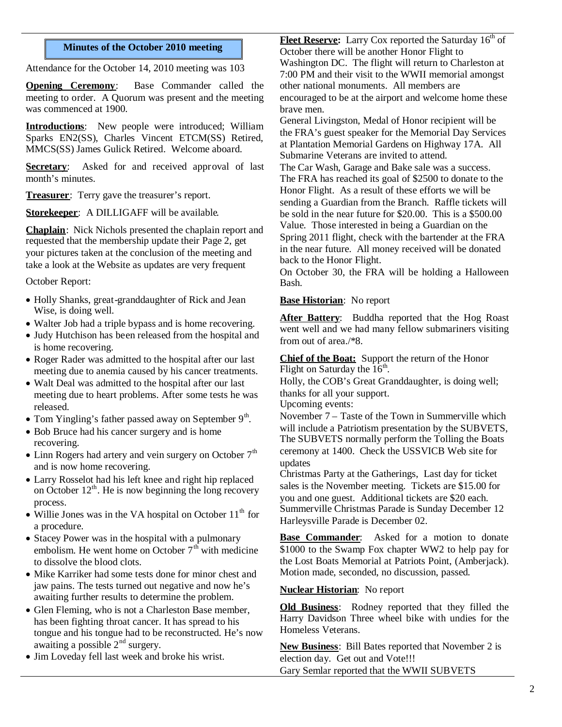#### **Minutes of the October 2010 meeting**

Attendance for the October 14, 2010 meeting was 103

**Opening Ceremony**: Base Commander called the meeting to order. A Quorum was present and the meeting was commenced at 1900.

**Introductions**: New people were introduced; William Sparks EN2(SS), Charles Vincent ETCM(SS) Retired, MMCS(SS) James Gulick Retired. Welcome aboard.

**Secretary:** Asked for and received approval of last month's minutes.

**Treasurer**: Terry gave the treasurer's report.

**Storekeeper**: A DILLIGAFF will be available.

**Chaplain**: Nick Nichols presented the chaplain report and requested that the membership update their Page 2, get your pictures taken at the conclusion of the meeting and take a look at the Website as updates are very frequent

October Report:

- Holly Shanks, great-granddaughter of Rick and Jean Wise, is doing well.
- Walter Job had a triple bypass and is home recovering.
- Judy Hutchison has been released from the hospital and is home recovering.
- Roger Rader was admitted to the hospital after our last meeting due to anemia caused by his cancer treatments.
- Walt Deal was admitted to the hospital after our last meeting due to heart problems. After some tests he was released.
- Tom Yingling's father passed away on September  $9<sup>th</sup>$ .
- Bob Bruce had his cancer surgery and is home recovering.
- Linn Rogers had artery and vein surgery on October  $7<sup>th</sup>$ and is now home recovering.
- Larry Rosselot had his left knee and right hip replaced on October  $12<sup>th</sup>$ . He is now beginning the long recovery process.
- $\bullet$  Willie Jones was in the VA hospital on October 11<sup>th</sup> for a procedure.
- Stacey Power was in the hospital with a pulmonary embolism. He went home on October  $7<sup>th</sup>$  with medicine to dissolve the blood clots.
- Mike Karriker had some tests done for minor chest and jaw pains. The tests turned out negative and now he's awaiting further results to determine the problem.
- Glen Fleming, who is not a Charleston Base member, has been fighting throat cancer. It has spread to his tongue and his tongue had to be reconstructed. He's now awaiting a possible  $2<sup>nd</sup>$  surgery.
- Jim Loveday fell last week and broke his wrist.

**Fleet Reserve:** Larry Cox reported the Saturday 16<sup>th</sup> of October there will be another Honor Flight to Washington DC. The flight will return to Charleston at 7:00 PM and their visit to the WWII memorial amongst other national monuments. All members are encouraged to be at the airport and welcome home these brave men.

General Livingston, Medal of Honor recipient will be the FRA's guest speaker for the Memorial Day Services at Plantation Memorial Gardens on Highway 17A. All Submarine Veterans are invited to attend.

The Car Wash, Garage and Bake sale was a success. The FRA has reached its goal of \$2500 to donate to the Honor Flight. As a result of these efforts we will be sending a Guardian from the Branch. Raffle tickets will be sold in the near future for \$20.00. This is a \$500.00 Value. Those interested in being a Guardian on the Spring 2011 flight, check with the bartender at the FRA in the near future. All money received will be donated back to the Honor Flight.

On October 30, the FRA will be holding a Halloween Bash.

#### **Base Historian**: No report

**After Battery**: Buddha reported that the Hog Roast went well and we had many fellow submariners visiting from out of area./\*8.

**Chief of the Boat:** Support the return of the Honor Flight on Saturday the  $16<sup>th</sup>$ .

Holly, the COB's Great Granddaughter, is doing well; thanks for all your support.

Upcoming events:

November 7 – Taste of the Town in Summerville which will include a Patriotism presentation by the SUBVETS, The SUBVETS normally perform the Tolling the Boats ceremony at 1400. Check the USSVICB Web site for updates

Christmas Party at the Gatherings, Last day for ticket sales is the November meeting. Tickets are \$15.00 for you and one guest. Additional tickets are \$20 each. Summerville Christmas Parade is Sunday December 12 Harleysville Parade is December 02.

**Base Commander**: Asked for a motion to donate \$1000 to the Swamp Fox chapter WW2 to help pay for the Lost Boats Memorial at Patriots Point, (Amberjack). Motion made, seconded, no discussion, passed.

#### **Nuclear Historian**: No report

**Old Business**: Rodney reported that they filled the Harry Davidson Three wheel bike with undies for the Homeless Veterans.

**New Business**: Bill Bates reported that November 2 is election day. Get out and Vote!!! Gary Semlar reported that the WWII SUBVETS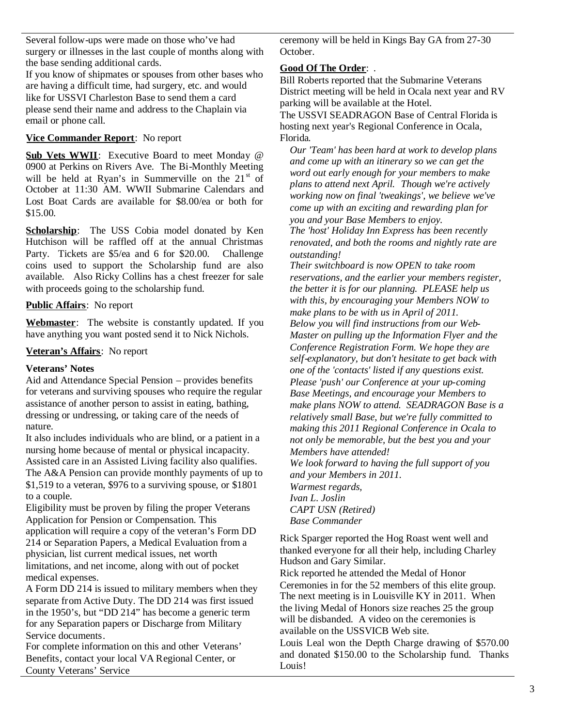Several follow-ups were made on those who've had surgery or illnesses in the last couple of months along with the base sending additional cards.

If you know of shipmates or spouses from other bases who are having a difficult time, had surgery, etc. and would like for USSVI Charleston Base to send them a card please send their name and address to the Chaplain via email or phone call.

# **Vice Commander Report**: No report

Sub Vets WWII: Executive Board to meet Monday @ 0900 at Perkins on Rivers Ave. The Bi-Monthly Meeting will be held at Ryan's in Summerville on the  $21<sup>st</sup>$  of October at 11:30 AM. WWII Submarine Calendars and Lost Boat Cards are available for \$8.00/ea or both for \$15.00.

**Scholarship**: The USS Cobia model donated by Ken Hutchison will be raffled off at the annual Christmas Party. Tickets are \$5/ea and 6 for \$20.00. Challenge coins used to support the Scholarship fund are also available. Also Ricky Collins has a chest freezer for sale with proceeds going to the scholarship fund.

### **Public Affairs**: No report

**Webmaster**: The website is constantly updated. If you have anything you want posted send it to Nick Nichols.

### **Veteran's Affairs**: No report

#### **Veterans' Notes**

Aid and Attendance Special Pension – provides benefits for veterans and surviving spouses who require the regular assistance of another person to assist in eating, bathing, dressing or undressing, or taking care of the needs of nature.

It also includes individuals who are blind, or a patient in a nursing home because of mental or physical incapacity. Assisted care in an Assisted Living facility also qualifies. The A&A Pension can provide monthly payments of up to \$1,519 to a veteran, \$976 to a surviving spouse, or \$1801 to a couple.

Eligibility must be proven by filing the proper Veterans Application for Pension or Compensation. This application will require a copy of the veteran's Form DD 214 or Separation Papers, a Medical Evaluation from a physician, list current medical issues, net worth limitations, and net income, along with out of pocket medical expenses.

A Form DD 214 is issued to military members when they separate from Active Duty. The DD 214 was first issued in the 1950's, but "DD 214" has become a generic term for any Separation papers or Discharge from Military Service documents.

For complete information on this and other Veterans' Benefits, contact your local VA Regional Center, or County Veterans' Service

ceremony will be held in Kings Bay GA from 27-30 October.

### **Good Of The Order**: .

Bill Roberts reported that the Submarine Veterans District meeting will be held in Ocala next year and RV parking will be available at the Hotel. The USSVI SEADRAGON Base of Central Florida is hosting next year's Regional Conference in Ocala, Florida.

*Our 'Team' has been hard at work to develop plans and come up with an itinerary so we can get the word out early enough for your members to make plans to attend next April. Though we're actively working now on final 'tweakings', we believe we've come up with an exciting and rewarding plan for you and your Base Members to enjoy.*

*The 'host' Holiday Inn Express has been recently renovated, and both the rooms and nightly rate are outstanding!*

*Their switchboard is now OPEN to take room reservations, and the earlier your members register, the better it is for our planning. PLEASE help us with this, by encouraging your Members NOW to make plans to be with us in April of 2011. Below you will find instructions from our Web-Master on pulling up the Information Flyer and the Conference Registration Form. We hope they are self-explanatory, but don't hesitate to get back with one of the 'contacts' listed if any questions exist. Please 'push' our Conference at your up-coming Base Meetings, and encourage your Members to make plans NOW to attend. SEADRAGON Base is a relatively small Base, but we're fully committed to making this 2011 Regional Conference in Ocala to not only be memorable, but the best you and your Members have attended! We look forward to having the full support of you and your Members in 2011. Warmest regards, Ivan L. Joslin CAPT USN (Retired)*

*Base Commander*

Rick Sparger reported the Hog Roast went well and thanked everyone for all their help, including Charley Hudson and Gary Similar.

Rick reported he attended the Medal of Honor Ceremonies in for the 52 members of this elite group. The next meeting is in Louisville KY in 2011. When the living Medal of Honors size reaches 25 the group will be disbanded. A video on the ceremonies is available on the USSVICB Web site.

Louis Leal won the Depth Charge drawing of \$570.00 and donated \$150.00 to the Scholarship fund. Thanks Louis!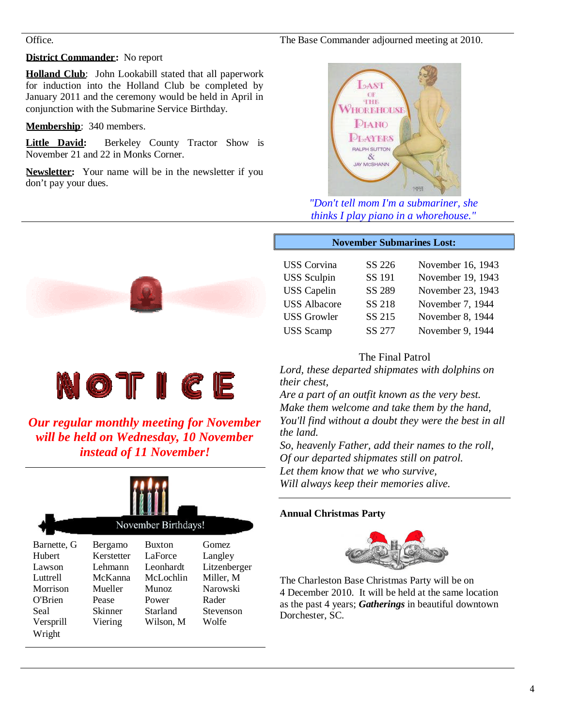# The Base Commander adjourned meeting at 2010.

#### Office.

# **District Commander:** No report

**Holland Club**: John Lookabill stated that all paperwork for induction into the Holland Club be completed by January 2011 and the ceremony would be held in April in conjunction with the Submarine Service Birthday.

**Membership**: 340 members.

**Little David:** Berkeley County Tractor Show is November 21 and 22 in Monks Corner.

**Newsletter:** Your name will be in the newsletter if you don't pay your dues.





*"Don't tell mom I'm a submariner, she thinks I play piano in a whorehouse."*

#### **November Submarines Lost:**

| <b>USS</b> Corvina  | SS 226 | November 16, 1943 |
|---------------------|--------|-------------------|
| <b>USS</b> Sculpin  | SS 191 | November 19, 1943 |
| <b>USS</b> Capelin  | SS 289 | November 23, 1943 |
| <b>USS Albacore</b> | SS 218 | November 7, 1944  |
| <b>USS Growler</b>  | SS 215 | November 8, 1944  |
| <b>USS</b> Scamp    | SS 277 | November 9, 1944  |

# The Final Patrol

*Lord, these departed shipmates with dolphins on their chest,*

*Are a part of an outfit known as the very best. Make them welcome and take them by the hand, You'll find without a doubt they were the best in all the land.*

*So, heavenly Father, add their names to the roll, Of our departed shipmates still on patrol. Let them know that we who survive, Will always keep their memories alive.*

# **Annual Christmas Party**



The Charleston Base Christmas Party will be on 4 December 2010. It will be held at the same location as the past 4 years; *Gatherings* in beautiful downtown Dorchester, SC.



*Our regular monthly meeting for November will be held on Wednesday, 10 November instead of 11 November!*

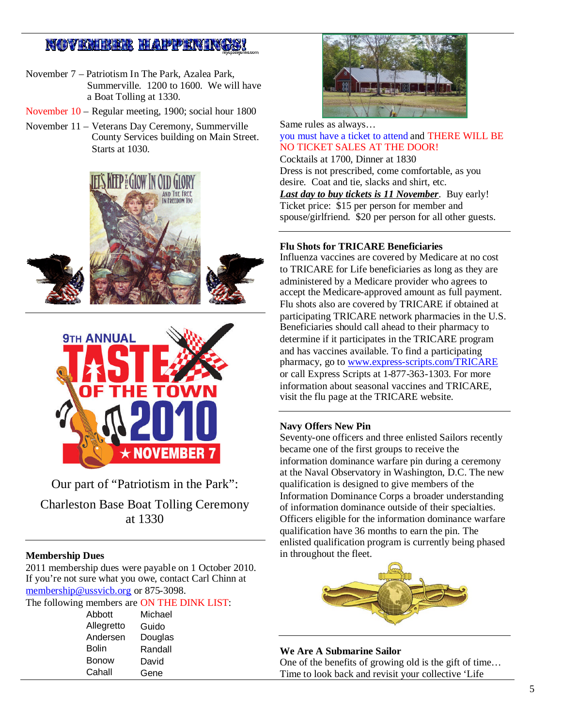# **NOVEMBER HAPPENINGS!**

- November 7 Patriotism In The Park, Azalea Park, Summerville. 1200 to 1600. We will have a Boat Tolling at 1330.
- November 10 Regular meeting, 1900; social hour 1800
- November 11 Veterans Day Ceremony, Summerville County Services building on Main Street. Starts at 1030.





Our part of "Patriotism in the Park":

Charleston Base Boat Tolling Ceremony at 1330

#### **Membership Dues**

2011 membership dues were payable on 1 October 2010. If you're not sure what you owe, contact Carl Chinn at membership@ussvicb.org or 875-3098.

The following members are ON THE DINK LIST:

| Abbott       | Michael |
|--------------|---------|
| Allegretto   | Guido   |
| Andersen     | Douglas |
| <b>Bolin</b> | Randall |
| Bonow        | David   |
| Cahall       | Gene    |



Same rules as always… you must have a ticket to attend and THERE WILL BE NO TICKET SALES AT THE DOOR! Cocktails at 1700, Dinner at 1830

Dress is not prescribed, come comfortable, as you desire. Coat and tie, slacks and shirt, etc.

*Last day to buy tickets is 11 November*. Buy early! Ticket price: \$15 per person for member and spouse/girlfriend. \$20 per person for all other guests.

#### **Flu Shots for TRICARE Beneficiaries**

Influenza vaccines are covered by Medicare at no cost to TRICARE for Life beneficiaries as long as they are administered by a Medicare provider who agrees to accept the Medicare-approved amount as full payment. Flu shots also are covered by TRICARE if obtained at participating TRICARE network pharmacies in the U.S. Beneficiaries should call ahead to their pharmacy to determine if it participates in the TRICARE program and has vaccines available. To find a participating pharmacy, go to www.express-scripts.com/TRICARE or call Express Scripts at 1-877-363-1303. For more information about seasonal vaccines and TRICARE, visit the flu page at the TRICARE website.

#### **Navy Offers New Pin**

Seventy-one officers and three enlisted Sailors recently became one of the first groups to receive the information dominance warfare pin during a ceremony at the Naval Observatory in Washington, D.C. The new qualification is designed to give members of the Information Dominance Corps a broader understanding of information dominance outside of their specialties. Officers eligible for the information dominance warfare qualification have 36 months to earn the pin. The enlisted qualification program is currently being phased in throughout the fleet.



**We Are A Submarine Sailor** One of the benefits of growing old is the gift of time… Time to look back and revisit your collective 'Life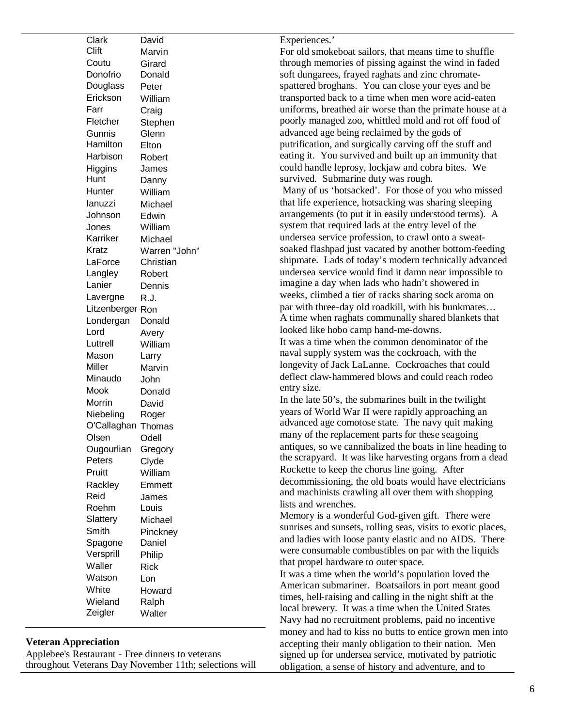| Clark        | David         |
|--------------|---------------|
| Clift        | Marvin        |
| Coutu        | Girard        |
| Donofrio     | Donald        |
| Douglass     | Peter         |
| Erickson     | William       |
| Farr         | Craig         |
| Fletcher     | Stephen       |
| Gunnis       | Glenn         |
| Hamilton     | Elton         |
| Harbison     | Robert        |
| Higgins      | James         |
| Hunt         | Danny         |
| Hunter       | William       |
| lanuzzi      | Michael       |
| Johnson      | Edwin         |
| Jones        | William       |
| Karriker     | Michael       |
| Kratz        | Warren "John" |
| LaForce      | Christian     |
| Langley      | Robert        |
| Lanier       | Dennis        |
| Lavergne     | R.J.          |
| Litzenberger | Ron           |
| Londergan    | Donald        |
| Lord         | Avery         |
| Luttrell     | William       |
| Mason        | Larry         |
| Miller       | Marvin        |
| Minaudo      | John          |
| Mook         | Donald        |
| Morrin       | David         |
| Niebeling    | Roger         |
| O'Callaghan  | Thomas        |
| Olsen        | Odell         |
| Ougourlian   | Gregory       |
| Peters       | Clyde         |
| Pruitt       | William       |
| Rackley      | Emmett        |
| Reid         | James         |
| Roehm        | Louis         |
| Slattery     | Michael       |
| Smith        | Pinckney      |
| Spagone      | Daniel        |
| Versprill    | Philip        |
| Waller       | <b>Rick</b>   |
| Watson       | Lon           |
| White        | Howard        |
| Wieland      | Ralph         |
| Zeigler      | Walter        |
|              |               |

# **Veteran Appreciation**

Applebee's Restaurant - Free dinners to veterans throughout Veterans Day November 11th; selections will

#### Experiences.'

For old smokeboat sailors, that means time to shuffle through memories of pissing against the wind in faded soft dungarees, frayed raghats and zinc chromatespattered broghans. You can close your eyes and be transported back to a time when men wore acid-eaten uniforms, breathed air worse than the primate house at a poorly managed zoo, whittled mold and rot off food of advanced age being reclaimed by the gods of putrification, and surgically carving off the stuff and eating it. You survived and built up an immunity that could handle leprosy, lockjaw and cobra bites. We survived. Submarine duty was rough. Many of us 'hotsacked'. For those of you who missed that life experience, hotsacking was sharing sleeping arrangements (to put it in easily understood terms). A system that required lads at the entry level of the undersea service profession, to crawl onto a sweatsoaked flashpad just vacated by another bottom-feeding shipmate. Lads of today's modern technically advanced undersea service would find it damn near impossible to imagine a day when lads who hadn't showered in weeks, climbed a tier of racks sharing sock aroma on par with three-day old roadkill, with his bunkmates… A time when raghats communally shared blankets that looked like hobo camp hand-me-downs. It was a time when the common denominator of the naval supply system was the cockroach, with the longevity of Jack LaLanne. Cockroaches that could deflect claw-hammered blows and could reach rodeo entry size. In the late 50's, the submarines built in the twilight

years of World War II were rapidly approaching an advanced age comotose state. The navy quit making many of the replacement parts for these seagoing antiques, so we cannibalized the boats in line heading to the scrapyard. It was like harvesting organs from a dead Rockette to keep the chorus line going. After decommissioning, the old boats would have electricians and machinists crawling all over them with shopping lists and wrenches.

Memory is a wonderful God-given gift. There were sunrises and sunsets, rolling seas, visits to exotic places, and ladies with loose panty elastic and no AIDS. There were consumable combustibles on par with the liquids that propel hardware to outer space.

It was a time when the world's population loved the American submariner. Boatsailors in port meant good times, hell-raising and calling in the night shift at the local brewery. It was a time when the United States Navy had no recruitment problems, paid no incentive money and had to kiss no butts to entice grown men into accepting their manly obligation to their nation. Men signed up for undersea service, motivated by patriotic obligation, a sense of history and adventure, and to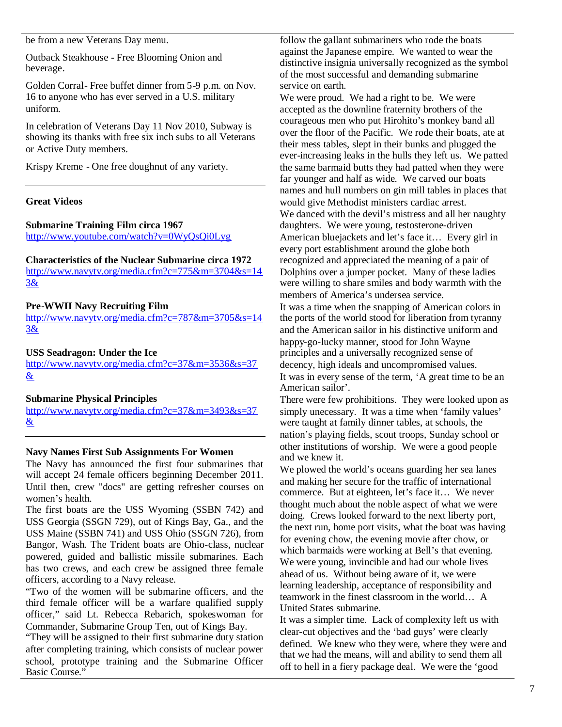be from a new Veterans Day menu.

Outback Steakhouse - Free Blooming Onion and beverage.

Golden Corral- Free buffet dinner from 5-9 p.m. on Nov. 16 to anyone who has ever served in a U.S. military uniform.

In celebration of Veterans Day 11 Nov 2010, Subway is showing its thanks with free six inch subs to all Veterans or Active Duty members.

Krispy Kreme - One free doughnut of any variety.

#### **Great Videos**

#### **Submarine Training Film circa 1967**

http://www.youtube.com/watch?v=0WyQsQi0Lyg

#### **Characteristics of the Nuclear Submarine circa 1972**

http://www.navytv.org/media.cfm?c=775&m=3704&s=14 3&

#### **Pre-WWII Navy Recruiting Film**

http://www.navytv.org/media.cfm?c=787&m=3705&s=14 3&

#### **USS Seadragon: Under the Ice**

http://www.navytv.org/media.cfm?c=37&m=3536&s=37 &

#### **Submarine Physical Principles**

http://www.navytv.org/media.cfm?c=37&m=3493&s=37  $\underline{\&}$ 

#### **Navy Names First Sub Assignments For Women**

The Navy has announced the first four submarines that will accept 24 female officers beginning December 2011. Until then, crew "docs" are getting refresher courses on women's health.

The first boats are the USS Wyoming (SSBN 742) and USS Georgia (SSGN 729), out of Kings Bay, Ga., and the USS Maine (SSBN 741) and USS Ohio (SSGN 726), from Bangor, Wash. The Trident boats are Ohio-class, nuclear powered, guided and ballistic missile submarines. Each has two crews, and each crew be assigned three female officers, according to a Navy release.

"Two of the women will be submarine officers, and the third female officer will be a warfare qualified supply officer," said Lt. Rebecca Rebarich, spokeswoman for Commander, Submarine Group Ten, out of Kings Bay.

"They will be assigned to their first submarine duty station after completing training, which consists of nuclear power school, prototype training and the Submarine Officer Basic Course."

follow the gallant submariners who rode the boats against the Japanese empire. We wanted to wear the distinctive insignia universally recognized as the symbol of the most successful and demanding submarine service on earth.

We were proud. We had a right to be. We were accepted as the downline fraternity brothers of the courageous men who put Hirohito's monkey band all over the floor of the Pacific. We rode their boats, ate at their mess tables, slept in their bunks and plugged the ever-increasing leaks in the hulls they left us. We patted the same barmaid butts they had patted when they were far younger and half as wide. We carved our boats names and hull numbers on gin mill tables in places that would give Methodist ministers cardiac arrest. We danced with the devil's mistress and all her naughty daughters. We were young, testosterone-driven American bluejackets and let's face it… Every girl in every port establishment around the globe both recognized and appreciated the meaning of a pair of Dolphins over a jumper pocket. Many of these ladies were willing to share smiles and body warmth with the members of America's undersea service.

It was a time when the snapping of American colors in the ports of the world stood for liberation from tyranny and the American sailor in his distinctive uniform and happy-go-lucky manner, stood for John Wayne principles and a universally recognized sense of decency, high ideals and uncompromised values. It was in every sense of the term, 'A great time to be an American sailor'.

There were few prohibitions. They were looked upon as simply unecessary. It was a time when 'family values' were taught at family dinner tables, at schools, the nation's playing fields, scout troops, Sunday school or other institutions of worship. We were a good people and we knew it.

We plowed the world's oceans guarding her sea lanes and making her secure for the traffic of international commerce. But at eighteen, let's face it… We never thought much about the noble aspect of what we were doing. Crews looked forward to the next liberty port, the next run, home port visits, what the boat was having for evening chow, the evening movie after chow, or which barmaids were working at Bell's that evening. We were young, invincible and had our whole lives ahead of us. Without being aware of it, we were learning leadership, acceptance of responsibility and teamwork in the finest classroom in the world… A United States submarine.

It was a simpler time. Lack of complexity left us with clear-cut objectives and the 'bad guys' were clearly defined. We knew who they were, where they were and that we had the means, will and ability to send them all off to hell in a fiery package deal. We were the 'good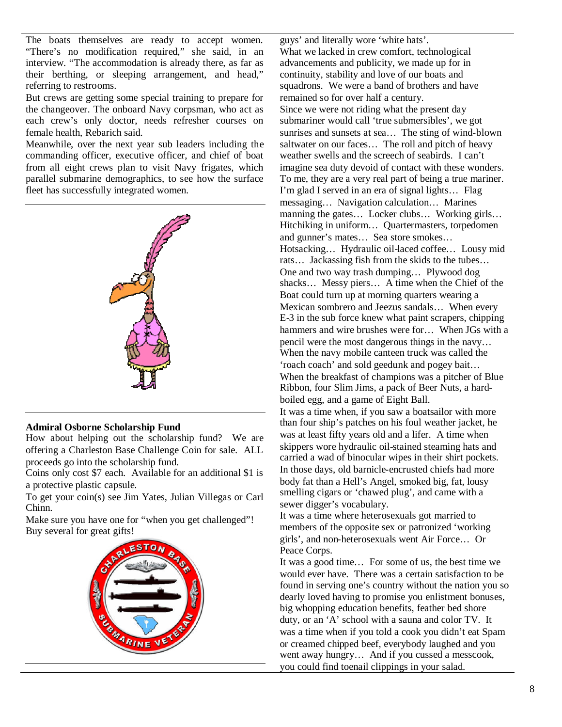The boats themselves are ready to accept women. "There's no modification required," she said, in an interview. "The accommodation is already there, as far as their berthing, or sleeping arrangement, and head," referring to restrooms.

But crews are getting some special training to prepare for the changeover. The onboard Navy corpsman, who act as each crew's only doctor, needs refresher courses on female health, Rebarich said.

Meanwhile, over the next year sub leaders including the commanding officer, executive officer, and chief of boat from all eight crews plan to visit Navy frigates, which parallel submarine demographics, to see how the surface fleet has successfully integrated women.



#### **Admiral Osborne Scholarship Fund**

How about helping out the scholarship fund? We are offering a Charleston Base Challenge Coin for sale. ALL proceeds go into the scholarship fund.

Coins only cost \$7 each. Available for an additional \$1 is a protective plastic capsule.

To get your coin(s) see Jim Yates, Julian Villegas or Carl Chinn.

Make sure you have one for "when you get challenged"! Buy several for great gifts!



guys' and literally wore 'white hats'. What we lacked in crew comfort, technological advancements and publicity, we made up for in continuity, stability and love of our boats and squadrons. We were a band of brothers and have remained so for over half a century. Since we were not riding what the present day submariner would call 'true submersibles', we got sunrises and sunsets at sea… The sting of wind-blown saltwater on our faces… The roll and pitch of heavy weather swells and the screech of seabirds. I can't imagine sea duty devoid of contact with these wonders. To me, they are a very real part of being a true mariner. I'm glad I served in an era of signal lights… Flag messaging… Navigation calculation… Marines manning the gates… Locker clubs… Working girls… Hitchiking in uniform… Quartermasters, torpedomen and gunner's mates… Sea store smokes… Hotsacking… Hydraulic oil-laced coffee… Lousy mid rats… Jackassing fish from the skids to the tubes… One and two way trash dumping… Plywood dog shacks… Messy piers… A time when the Chief of the Boat could turn up at morning quarters wearing a Mexican sombrero and Jeezus sandals… When every E-3 in the sub force knew what paint scrapers, chipping hammers and wire brushes were for… When JGs with a pencil were the most dangerous things in the navy… When the navy mobile canteen truck was called the 'roach coach' and sold geedunk and pogey bait… When the breakfast of champions was a pitcher of Blue Ribbon, four Slim Jims, a pack of Beer Nuts, a hardboiled egg, and a game of Eight Ball. It was a time when, if you saw a boatsailor with more

than four ship's patches on his foul weather jacket, he was at least fifty years old and a lifer. A time when skippers wore hydraulic oil-stained steaming hats and carried a wad of binocular wipes in their shirt pockets. In those days, old barnicle-encrusted chiefs had more body fat than a Hell's Angel, smoked big, fat, lousy smelling cigars or 'chawed plug', and came with a sewer digger's vocabulary.

It was a time where heterosexuals got married to members of the opposite sex or patronized 'working girls', and non-heterosexuals went Air Force… Or Peace Corps.

It was a good time… For some of us, the best time we would ever have. There was a certain satisfaction to be found in serving one's country without the nation you so dearly loved having to promise you enlistment bonuses, big whopping education benefits, feather bed shore duty, or an 'A' school with a sauna and color TV. It was a time when if you told a cook you didn't eat Spam or creamed chipped beef, everybody laughed and you went away hungry… And if you cussed a messcook, you could find toenail clippings in your salad.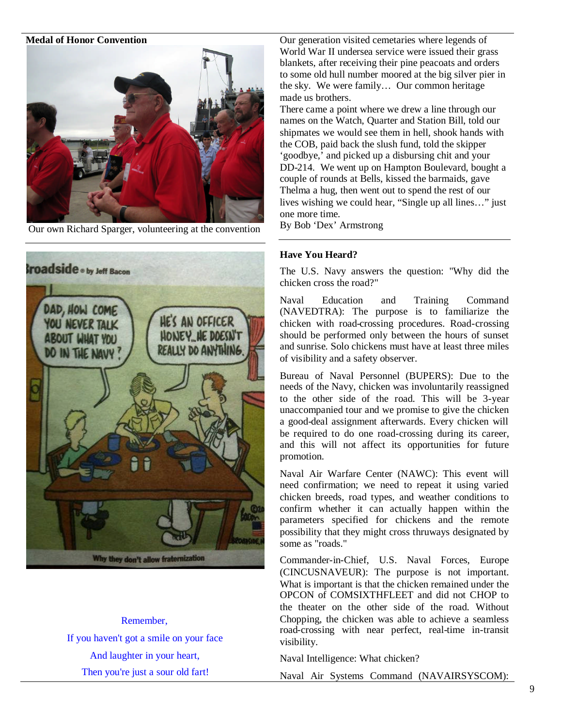#### **Medal of Honor Convention**



Our own Richard Sparger, volunteering at the convention



Remember, If you haven't got a smile on your face And laughter in your heart, Then you're just a sour old fart!

Our generation visited cemetaries where legends of World War II undersea service were issued their grass blankets, after receiving their pine peacoats and orders to some old hull number moored at the big silver pier in the sky. We were family… Our common heritage made us brothers.

There came a point where we drew a line through our names on the Watch, Quarter and Station Bill, told our shipmates we would see them in hell, shook hands with the COB, paid back the slush fund, told the skipper 'goodbye,' and picked up a disbursing chit and your DD-214. We went up on Hampton Boulevard, bought a couple of rounds at Bells, kissed the barmaids, gave Thelma a hug, then went out to spend the rest of our lives wishing we could hear, "Single up all lines…" just one more time.

By Bob 'Dex' Armstrong

### **Have You Heard?**

The U.S. Navy answers the question: "Why did the chicken cross the road?"

Naval Education and Training Command (NAVEDTRA): The purpose is to familiarize the chicken with road-crossing procedures. Road-crossing should be performed only between the hours of sunset and sunrise. Solo chickens must have at least three miles of visibility and a safety observer.

Bureau of Naval Personnel (BUPERS): Due to the needs of the Navy, chicken was involuntarily reassigned to the other side of the road. This will be 3-year unaccompanied tour and we promise to give the chicken a good-deal assignment afterwards. Every chicken will be required to do one road-crossing during its career, and this will not affect its opportunities for future promotion.

Naval Air Warfare Center (NAWC): This event will need confirmation; we need to repeat it using varied chicken breeds, road types, and weather conditions to confirm whether it can actually happen within the parameters specified for chickens and the remote possibility that they might cross thruways designated by some as "roads."

Commander-in-Chief, U.S. Naval Forces, Europe (CINCUSNAVEUR): The purpose is not important. What is important is that the chicken remained under the OPCON of COMSIXTHFLEET and did not CHOP to the theater on the other side of the road. Without Chopping, the chicken was able to achieve a seamless road-crossing with near perfect, real-time in-transit visibility.

Naval Intelligence: What chicken?

Naval Air Systems Command (NAVAIRSYSCOM):